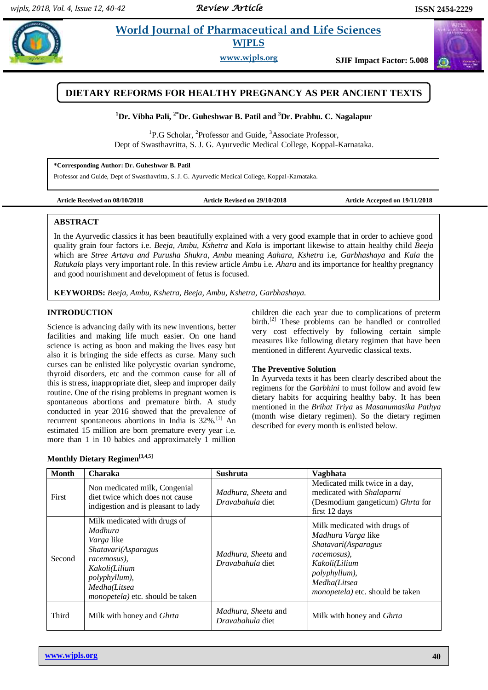# **Patill** *E* **World Journal of Pharmaceutical and Life Sciences WJPLS**

**www.wjpls.org SJIF Impact Factor: 5.008**



# **<sup>1</sup>Dr. Vibha Pali, 2\*Dr. Guheshwar B. Patil and <sup>3</sup>Dr. Prabhu. C. Nagalapur**

<sup>1</sup>P.G Scholar, <sup>2</sup>Professor and Guide, <sup>3</sup>Associate Professor, Dept of Swasthavritta, S. J. G. Ayurvedic Medical College, Koppal-Karnataka.

**\*Corresponding Author: Dr. Guheshwar B. Patil**

Professor and Guide, Dept of Swasthavritta, S. J. G. Ayurvedic Medical College, Koppal-Karnataka.

**Article Received on 08/10/2018 Article Revised on 29/10/2018 Article Accepted on 19/11/2018**

#### **ABSTRACT**

In the Ayurvedic classics it has been beautifully explained with a very good example that in order to achieve good quality grain four factors i.e. *Beeja, Ambu, Kshetra* and *Kala* is important likewise to attain healthy child *Beeja*  which are *Stree Artava and Purusha Shukra*, *Ambu* meaning *Aahara*, *Kshetra* i.e, *Garbhashaya* and *Kala* the *Rutukala* plays very important role. In this review article *Ambu* i.e. *Ahara* and its importance for healthy pregnancy and good nourishment and development of fetus is focused.

**KEYWORDS:** *Beeja, Ambu, Kshetra, Beeja, Ambu, Kshetra, Garbhashaya.*

#### **INTRODUCTION**

Science is advancing daily with its new inventions, better facilities and making life much easier. On one hand science is acting as boon and making the lives easy but also it is bringing the side effects as curse. Many such curses can be enlisted like polycystic ovarian syndrome, thyroid disorders, etc and the common cause for all of this is stress, inappropriate diet, sleep and improper daily routine. One of the rising problems in pregnant women is spontaneous abortions and premature birth. A study conducted in year 2016 showed that the prevalence of recurrent spontaneous abortions in India is 32%.<sup>[1]</sup> An estimated 15 million are born premature every year i.e. more than 1 in 10 babies and approximately 1 million

children die each year due to complications of preterm birth.<sup>[2]</sup> These problems can be handled or controlled very cost effectively by following certain simple measures like following dietary regimen that have been mentioned in different Ayurvedic classical texts.

#### **The Preventive Solution**

In Ayurveda texts it has been clearly described about the regimens for the *Garbhini* to must follow and avoid few dietary habits for acquiring healthy baby. It has been mentioned in the *Brihat Triya* as *Masanumasika Pathya*  (month wise dietary regimen). So the dietary regimen described for every month is enlisted below.

| Monthly Dietary Regimen <sup>[3,4,5]</sup> |  |
|--------------------------------------------|--|
|--------------------------------------------|--|

| <b>Month</b> | Charaka                                                                                                                                                                                         | <b>Sushruta</b>                                | <b>Vagbhata</b>                                                                                                                                                                               |
|--------------|-------------------------------------------------------------------------------------------------------------------------------------------------------------------------------------------------|------------------------------------------------|-----------------------------------------------------------------------------------------------------------------------------------------------------------------------------------------------|
| First        | Non medicated milk, Congenial<br>diet twice which does not cause<br>indigestion and is pleasant to lady                                                                                         | <i>Madhura, Sheeta</i> and<br>Dravabahula diet | Medicated milk twice in a day,<br>medicated with Shalaparni<br>(Desmodium gangeticum) Ghrta for<br>first 12 days                                                                              |
| Second       | Milk medicated with drugs of<br><i>Madhura</i><br><i>Varga</i> like<br>Shatavari(Asparagus<br>racemosus),<br>Kakoli(Lilium<br>polyphyllum),<br>Medha(Litsea<br>monopetela) etc. should be taken | <i>Madhura, Sheeta</i> and<br>Dravabahula diet | Milk medicated with drugs of<br><i>Madhura Varga like</i><br>Shatavari(Asparagus<br>racemosus).<br>Kakoli(Lilium<br>polyphyllum),<br>Medha(Litsea<br><i>monopetela</i> ) etc. should be taken |
| Third        | Milk with honey and <i>Ghrta</i>                                                                                                                                                                | Madhura, Sheeta and<br>Dravabahula diet        | Milk with honey and <i>Ghrta</i>                                                                                                                                                              |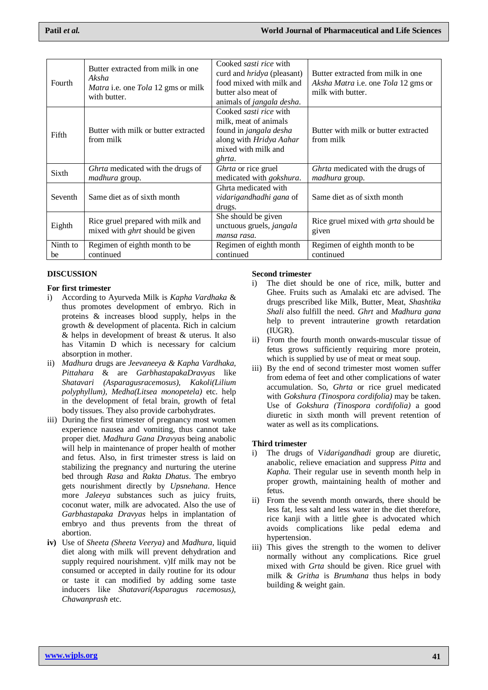| Fourth         | Butter extracted from milk in one.<br>Aksha<br><i>Matra</i> i.e. one <i>Tola</i> 12 gms or milk<br>with butter. | Cooked <i>sasti rice</i> with<br>curd and <i>hridya</i> (pleasant)<br>food mixed with milk and<br>butter also meat of<br>animals of <i>jangala desha</i> . | Butter extracted from milk in one.<br>Aksha Matra i.e. one Tola 12 gms or<br>milk with butter. |
|----------------|-----------------------------------------------------------------------------------------------------------------|------------------------------------------------------------------------------------------------------------------------------------------------------------|------------------------------------------------------------------------------------------------|
| Fifth          | Butter with milk or butter extracted<br>from milk                                                               | Cooked <i>sasti rice</i> with<br>milk, meat of animals<br>found in jangala desha<br>along with Hridya Aahar<br>mixed with milk and<br>ghrta.               | Butter with milk or butter extracted<br>from milk                                              |
| Sixth          | Ghrta medicated with the drugs of<br>madhura group.                                                             | Ghrta or rice gruel<br>medicated with <i>gokshura</i> .                                                                                                    | Ghrta medicated with the drugs of<br><i>madhura</i> group.                                     |
| Seventh        | Same diet as of sixth month                                                                                     | Ghrta medicated with<br>vidarigandhadhi gana of<br>drugs.                                                                                                  | Same diet as of sixth month                                                                    |
| Eighth         | Rice gruel prepared with milk and<br>mixed with <i>ghrt</i> should be given                                     | She should be given<br>unctuous gruels, jangala<br>mansa rasa.                                                                                             | Rice gruel mixed with <i>grta</i> should be<br>given                                           |
| Ninth to<br>be | Regimen of eighth month to be<br>continued                                                                      | Regimen of eighth month<br>continued                                                                                                                       | Regimen of eighth month to be<br>continued                                                     |

# **DISCUSSION**

## **For first trimester**

- i) According to Ayurveda Milk is *Kapha Vardhaka* & thus promotes development of embryo. Rich in proteins & increases blood supply, helps in the growth & development of placenta. Rich in calcium & helps in development of breast & uterus. It also has Vitamin D which is necessary for calcium absorption in mother.
- ii) *Madhura* drugs are *Jeevaneeya & Kapha Vardhaka, Pittahara* & are *GarbhastapakaDravyas* like *Shatavari (Asparagusracemosus), Kakoli(Lilium polyphyllum), Medha(Litsea monopetela)* etc. help in the development of fetal brain, growth of fetal body tissues. They also provide carbohydrates.
- iii) During the first trimester of pregnancy most women experience nausea and vomiting, thus cannot take proper diet. *Madhura Gana Dravyas* being anabolic will help in maintenance of proper health of mother and fetus. Also, in first trimester stress is laid on stabilizing the pregnancy and nurturing the uterine bed through *Rasa* and *Rakta Dhatus*. The embryo gets nourishment directly by *Upsnehana*. Hence more *Jaleeya* substances such as juicy fruits, coconut water, milk are advocated. Also the use of *Garbhastapaka Dravyas* helps in implantation of embryo and thus prevents from the threat of abortion.
- **iv)** Use of *Sheeta (Sheeta Veerya)* and *Madhura,* liquid diet along with milk will prevent dehydration and supply required nourishment. v)If milk may not be consumed or accepted in daily routine for its odour or taste it can modified by adding some taste inducers like *Shatavari(Asparagus racemosus), Chawanprash* etc.

## **Second trimester**

- i) The diet should be one of rice, milk, butter and Ghee. Fruits such as Amalaki etc are advised. The drugs prescribed like Milk, Butter, Meat, *Shashtika Shali* also fulfill the need. *Ghrt* and *Madhura gana*  help to prevent intrauterine growth retardation (IUGR).
- ii) From the fourth month onwards-muscular tissue of fetus grows sufficiently requiring more protein, which is supplied by use of meat or meat soup.
- iii) By the end of second trimester most women suffer from edema of feet and other complications of water accumulation. So, *Ghrta* or rice gruel medicated with *Gokshura (Tinospora cordifolia)* may be taken. Use of *Gokshura (Tinospora cordifolia)* a good diuretic in sixth month will prevent retention of water as well as its complications.

#### **Third trimester**

- i) The drugs of V*idarigandhadi* group are diuretic, anabolic, relieve emaciation and suppress *Pitta* and *Kapha.* Their regular use in seventh month help in proper growth, maintaining health of mother and fetus.
- ii) From the seventh month onwards, there should be less fat, less salt and less water in the diet therefore, rice kanji with a little ghee is advocated which avoids complications like pedal edema and hypertension.
- iii) This gives the strength to the women to deliver normally without any complications. Rice gruel mixed with *Grta* should be given. Rice gruel with milk & *Gritha* is *Brumhana* thus helps in body building & weight gain.